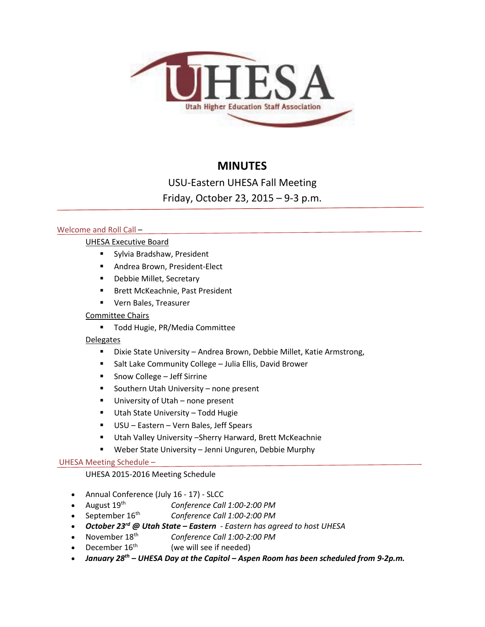

# **MINUTES**

USU-Eastern UHESA Fall Meeting

Friday, October 23, 2015 – 9-3 p.m.

# Welcome and Roll Call –

# UHESA Executive Board

- **Sylvia Bradshaw, President**
- **Andrea Brown, President-Elect**
- **-** Debbie Millet, Secretary
- **Brett McKeachnie, Past President**
- **UPICAL Bales, Treasurer**

# Committee Chairs

**Todd Hugie, PR/Media Committee** 

# **Delegates**

- **E** Dixie State University Andrea Brown, Debbie Millet, Katie Armstrong,
- **Salt Lake Community College Julia Ellis, David Brower**
- Snow College Jeff Sirrine
- **Southern Utah University none present**
- **University of Utah none present**
- **Utah State University Todd Hugie**
- USU Eastern Vern Bales, Jeff Spears
- Utah Valley University –Sherry Harward, Brett McKeachnie
- Weber State University Jenni Unguren, Debbie Murphy

# UHESA Meeting Schedule –

# UHESA 2015-2016 Meeting Schedule

- Annual Conference (July 16 17) SLCC
- 
- August 19<sup>th</sup> *Conference Call 1:00-2:00 PM*<br>• September 16<sup>th</sup> *Conference Call 1:00-2:00 PM* Conference Call 1:00-2:00 PM
- *October 23rd @ Utah State – Eastern - Eastern has agreed to host UHESA*
- November 18th *Conference Call 1:00-2:00 PM*
- December  $16<sup>th</sup>$  (we will see if needed)
- *January 28th – UHESA Day at the Capitol – Aspen Room has been scheduled from 9-2p.m.*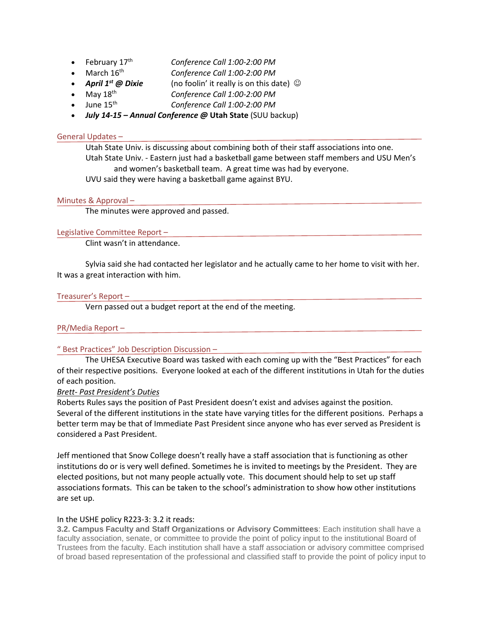- February 17th *Conference Call 1:00-2:00 PM*
- March 16th *Conference Call 1:00-2:00 PM*
- **April 1<sup>st</sup> @ Dixie** (no foolin' it really is on this date)  $\odot$
- May 18th *Conference Call 1:00-2:00 PM*
- June 15th *Conference Call 1:00-2:00 PM*
- *July 14-15 – Annual Conference @* **Utah State** (SUU backup)

### General Updates –

Utah State Univ. is discussing about combining both of their staff associations into one. Utah State Univ. - Eastern just had a basketball game between staff members and USU Men's and women's basketball team. A great time was had by everyone. UVU said they were having a basketball game against BYU.

### Minutes & Approval –

The minutes were approved and passed.

# Legislative Committee Report –

Clint wasn't in attendance.

Sylvia said she had contacted her legislator and he actually came to her home to visit with her. It was a great interaction with him.

### Treasurer's Report –

Vern passed out a budget report at the end of the meeting.

## PR/Media Report –

## " Best Practices" Job Description Discussion –

The UHESA Executive Board was tasked with each coming up with the "Best Practices" for each of their respective positions. Everyone looked at each of the different institutions in Utah for the duties of each position.

### *Brett- Past President's Duties*

Roberts Rules says the position of Past President doesn't exist and advises against the position. Several of the different institutions in the state have varying titles for the different positions. Perhaps a better term may be that of Immediate Past President since anyone who has ever served as President is considered a Past President.

Jeff mentioned that Snow College doesn't really have a staff association that is functioning as other institutions do or is very well defined. Sometimes he is invited to meetings by the President. They are elected positions, but not many people actually vote. This document should help to set up staff associations formats. This can be taken to the school's administration to show how other institutions are set up.

### In the USHE policy R223-3: 3.2 it reads:

**3.2. Campus Faculty and Staff Organizations or Advisory Committees**: Each institution shall have a faculty association, senate, or committee to provide the point of policy input to the institutional Board of Trustees from the faculty. Each institution shall have a staff association or advisory committee comprised of broad based representation of the professional and classified staff to provide the point of policy input to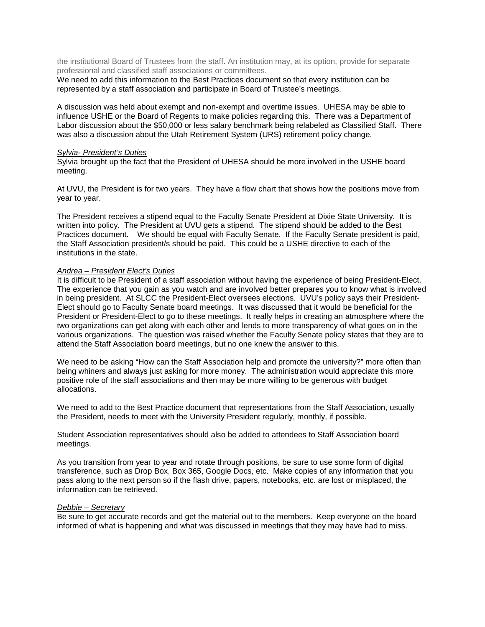the institutional Board of Trustees from the staff. An institution may, at its option, provide for separate professional and classified staff associations or committees.

We need to add this information to the Best Practices document so that every institution can be represented by a staff association and participate in Board of Trustee's meetings.

A discussion was held about exempt and non-exempt and overtime issues. UHESA may be able to influence USHE or the Board of Regents to make policies regarding this. There was a Department of Labor discussion about the \$50,000 or less salary benchmark being relabeled as Classified Staff. There was also a discussion about the Utah Retirement System (URS) retirement policy change.

#### *Sylvia- President's Duties*

Sylvia brought up the fact that the President of UHESA should be more involved in the USHE board meeting.

At UVU, the President is for two years. They have a flow chart that shows how the positions move from year to year.

The President receives a stipend equal to the Faculty Senate President at Dixie State University. It is written into policy. The President at UVU gets a stipend. The stipend should be added to the Best Practices document. We should be equal with Faculty Senate. If the Faculty Senate president is paid, the Staff Association president/s should be paid. This could be a USHE directive to each of the institutions in the state.

#### *Andrea – President Elect's Duties*

It is difficult to be President of a staff association without having the experience of being President-Elect. The experience that you gain as you watch and are involved better prepares you to know what is involved in being president. At SLCC the President-Elect oversees elections. UVU's policy says their President-Elect should go to Faculty Senate board meetings. It was discussed that it would be beneficial for the President or President-Elect to go to these meetings. It really helps in creating an atmosphere where the two organizations can get along with each other and lends to more transparency of what goes on in the various organizations. The question was raised whether the Faculty Senate policy states that they are to attend the Staff Association board meetings, but no one knew the answer to this.

We need to be asking "How can the Staff Association help and promote the university?" more often than being whiners and always just asking for more money. The administration would appreciate this more positive role of the staff associations and then may be more willing to be generous with budget allocations.

We need to add to the Best Practice document that representations from the Staff Association, usually the President, needs to meet with the University President regularly, monthly, if possible.

Student Association representatives should also be added to attendees to Staff Association board meetings.

As you transition from year to year and rotate through positions, be sure to use some form of digital transference, such as Drop Box, Box 365, Google Docs, etc. Make copies of any information that you pass along to the next person so if the flash drive, papers, notebooks, etc. are lost or misplaced, the information can be retrieved.

#### *Debbie – Secretary*

Be sure to get accurate records and get the material out to the members. Keep everyone on the board informed of what is happening and what was discussed in meetings that they may have had to miss.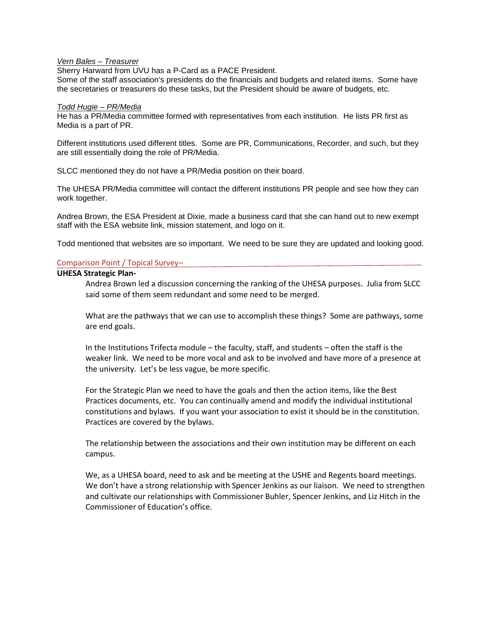#### *Vern Bales – Treasurer*

Sherry Harward from UVU has a P-Card as a PACE President.

Some of the staff association's presidents do the financials and budgets and related items. Some have the secretaries or treasurers do these tasks, but the President should be aware of budgets, etc.

#### *Todd Hugie – PR/Media*

He has a PR/Media committee formed with representatives from each institution. He lists PR first as Media is a part of PR.

Different institutions used different titles. Some are PR, Communications, Recorder, and such, but they are still essentially doing the role of PR/Media.

SLCC mentioned they do not have a PR/Media position on their board.

The UHESA PR/Media committee will contact the different institutions PR people and see how they can work together.

Andrea Brown, the ESA President at Dixie, made a business card that she can hand out to new exempt staff with the ESA website link, mission statement, and logo on it.

Todd mentioned that websites are so important. We need to be sure they are updated and looking good.

#### Comparison Point / Topical Survey–

#### **UHESA Strategic Plan-**

Andrea Brown led a discussion concerning the ranking of the UHESA purposes. Julia from SLCC said some of them seem redundant and some need to be merged.

What are the pathways that we can use to accomplish these things? Some are pathways, some are end goals.

In the Institutions Trifecta module – the faculty, staff, and students – often the staff is the weaker link. We need to be more vocal and ask to be involved and have more of a presence at the university. Let's be less vague, be more specific.

For the Strategic Plan we need to have the goals and then the action items, like the Best Practices documents, etc. You can continually amend and modify the individual institutional constitutions and bylaws. If you want your association to exist it should be in the constitution. Practices are covered by the bylaws.

The relationship between the associations and their own institution may be different on each campus.

We, as a UHESA board, need to ask and be meeting at the USHE and Regents board meetings. We don't have a strong relationship with Spencer Jenkins as our liaison. We need to strengthen and cultivate our relationships with Commissioner Buhler, Spencer Jenkins, and Liz Hitch in the Commissioner of Education's office.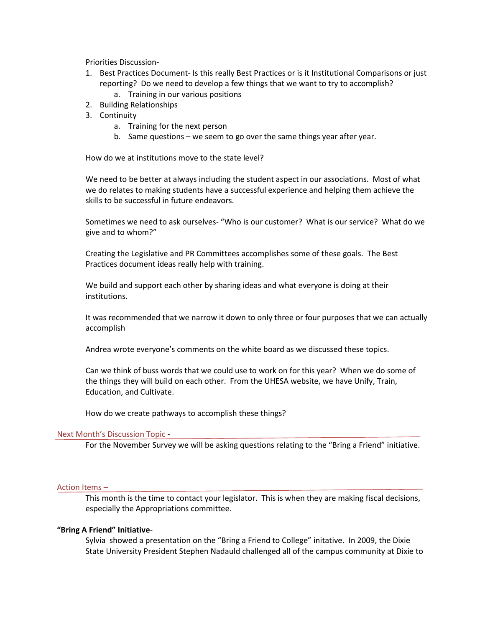Priorities Discussion-

- 1. Best Practices Document- Is this really Best Practices or is it Institutional Comparisons or just reporting? Do we need to develop a few things that we want to try to accomplish? a. Training in our various positions
- 2. Building Relationships
- 3. Continuity
	- a. Training for the next person
	- b. Same questions we seem to go over the same things year after year.

How do we at institutions move to the state level?

We need to be better at always including the student aspect in our associations. Most of what we do relates to making students have a successful experience and helping them achieve the skills to be successful in future endeavors.

Sometimes we need to ask ourselves- "Who is our customer? What is our service? What do we give and to whom?"

Creating the Legislative and PR Committees accomplishes some of these goals. The Best Practices document ideas really help with training.

We build and support each other by sharing ideas and what everyone is doing at their institutions.

It was recommended that we narrow it down to only three or four purposes that we can actually accomplish

Andrea wrote everyone's comments on the white board as we discussed these topics.

Can we think of buss words that we could use to work on for this year? When we do some of the things they will build on each other. From the UHESA website, we have Unify, Train, Education, and Cultivate.

How do we create pathways to accomplish these things?

#### Next Month's Discussion Topic -

For the November Survey we will be asking questions relating to the "Bring a Friend" initiative.

#### Action Items –

This month is the time to contact your legislator. This is when they are making fiscal decisions, especially the Appropriations committee.

#### **"Bring A Friend" Initiative**-

Sylvia showed a presentation on the "Bring a Friend to College" initative. In 2009, the Dixie State University President Stephen Nadauld challenged all of the campus community at Dixie to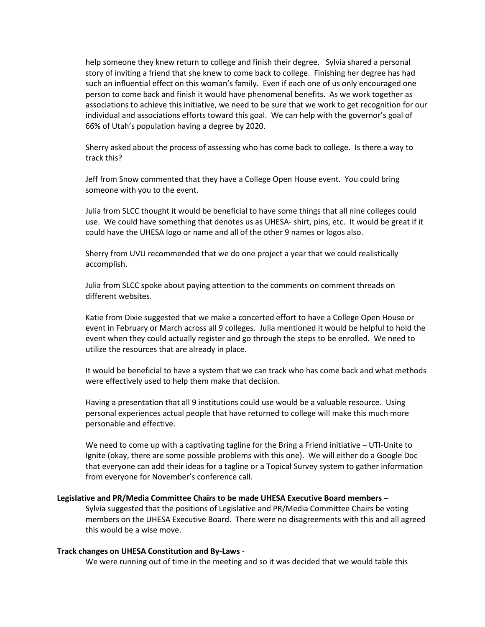help someone they knew return to college and finish their degree. Sylvia shared a personal story of inviting a friend that she knew to come back to college. Finishing her degree has had such an influential effect on this woman's family. Even if each one of us only encouraged one person to come back and finish it would have phenomenal benefits. As we work together as associations to achieve this initiative, we need to be sure that we work to get recognition for our individual and associations efforts toward this goal. We can help with the governor's goal of 66% of Utah's population having a degree by 2020.

Sherry asked about the process of assessing who has come back to college. Is there a way to track this?

Jeff from Snow commented that they have a College Open House event. You could bring someone with you to the event.

Julia from SLCC thought it would be beneficial to have some things that all nine colleges could use. We could have something that denotes us as UHESA- shirt, pins, etc. It would be great if it could have the UHESA logo or name and all of the other 9 names or logos also.

Sherry from UVU recommended that we do one project a year that we could realistically accomplish.

Julia from SLCC spoke about paying attention to the comments on comment threads on different websites.

Katie from Dixie suggested that we make a concerted effort to have a College Open House or event in February or March across all 9 colleges. Julia mentioned it would be helpful to hold the event when they could actually register and go through the steps to be enrolled. We need to utilize the resources that are already in place.

It would be beneficial to have a system that we can track who has come back and what methods were effectively used to help them make that decision.

Having a presentation that all 9 institutions could use would be a valuable resource. Using personal experiences actual people that have returned to college will make this much more personable and effective.

We need to come up with a captivating tagline for the Bring a Friend initiative – UTI-Unite to Ignite (okay, there are some possible problems with this one). We will either do a Google Doc that everyone can add their ideas for a tagline or a Topical Survey system to gather information from everyone for November's conference call.

### **Legislative and PR/Media Committee Chairs to be made UHESA Executive Board members** –

Sylvia suggested that the positions of Legislative and PR/Media Committee Chairs be voting members on the UHESA Executive Board. There were no disagreements with this and all agreed this would be a wise move.

#### **Track changes on UHESA Constitution and By-Laws** -

We were running out of time in the meeting and so it was decided that we would table this